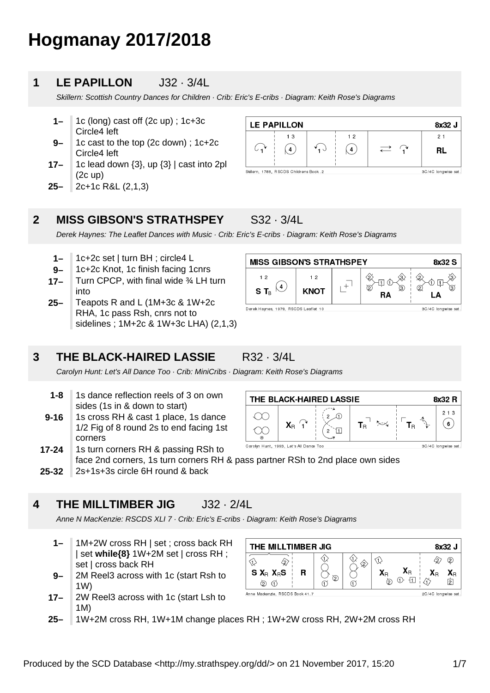# **Hogmanay 2017/2018**

### **1 LE PAPILLON** J32 · 3/4L

Skillern: Scottish Country Dances for Children · Crib: Eric's E-cribs · Diagram: Keith Rose's Diagrams

- **1–** 1c (long) cast off (2c up) ; 1c+3c Circle4 left
- **9–** 1c cast to the top (2c down) ; 1c+2c Circle4 left
- **17–** 1c lead down {3}, up {3} | cast into 2pl (2c up)
- **25–** 2c+1c R&L (2,1,3)

#### **LE PAPILLON** 8x32 J  $1<sub>3</sub>$  $1<sub>2</sub>$  $21$  $C_{1}$  $\mathcal{L}_{\mathbf{1}}$  $\Omega$  $\curvearrowright$  $(4)$ **RL** Skillern, 1788, RSCDS Childrens Book.2 3C/4C longwise set

### **2 MISS GIBSON'S STRATHSPEY** S32 · 3/4L

Derek Haynes: The Leaflet Dances with Music · Crib: Eric's E-cribs · Diagram: Keith Rose's Diagrams

**R32 · 3/4L** 

- **1–** 1c+2c set | turn BH ; circle4 L
- **9–** 1c+2c Knot, 1c finish facing 1cnrs
- **17–** Turn CPCP, with final wide ¾ LH turn into
- **25–** Teapots R and L (1M+3c & 1W+2c RHA, 1c pass Rsh, cnrs not to sidelines ; 1M+2c & 1W+3c LHA) (2,1,3)

|  | 3 | THE BLACK-HAIRED LASSIE |
|--|---|-------------------------|
|--|---|-------------------------|

Carolyn Hunt: Let's All Dance Too · Crib: MiniCribs · Diagram: Keith Rose's Diagrams

- **1-8** 1s dance reflection reels of 3 on own sides (1s in & down to start)
- **9-16** 1s cross RH & cast 1 place, 1s dance 1/2 Fig of 8 round 2s to end facing 1st corners
- **17-24** 1s turn corners RH & passing RSh to face 2nd corners, 1s turn corners RH & pass partner RSh to 2nd place own sides
- **25-32** 2s+1s+3s circle 6H round & back

### **4 THE MILLTIMBER JIG** J32 · 2/4L

Anne N MacKenzie: RSCDS XLI 7 · Crib: Eric's E-cribs · Diagram: Keith Rose's Diagrams

- **1–** 1M+2W cross RH | set ; cross back RH | set **while{8}** 1W+2M set | cross RH ; set | cross back RH
- **9–** 2M Reel3 across with 1c (start Rsh to 1W)
- **17–** 2W Reel3 across with 1c (start Lsh to 1M)

| THE MILLTIMBER JIG<br>8x32 J    |                     |   |                                                          |    |          |  |  |
|---------------------------------|---------------------|---|----------------------------------------------------------|----|----------|--|--|
| $S X_R X_R S$                   | ℗                   | ℅ | $\mathbf{X}_\text{R}$<br>$\mathbf{X}_{\mathsf{R}}$<br>ົດ | ۹Ρ | (2<br>١R |  |  |
| Anne Mackenzie, RSCDS Book 41.7 | 2C/4C longwise set. |   |                                                          |    |          |  |  |

**25–** 1W+2M cross RH, 1W+1M change places RH ; 1W+2W cross RH, 2W+2M cross RH



THE BLACK-HAIRED LASSIE 8x32 R  $213$  $T_R^{\Box}$   $\approx$  $\ulcorner$  T<sub>r</sub>  $(6)$  $\mathsf{X}_\mathsf{R}$ 'nΙ  $\mathcal{D}$ Carolyn Hunt, 1993, Let's All Dance Too 3C/4C longwise set

Produced by the SCD Database <http://my.strathspey.org/dd/> on 21 November 2017, 15:20 1/7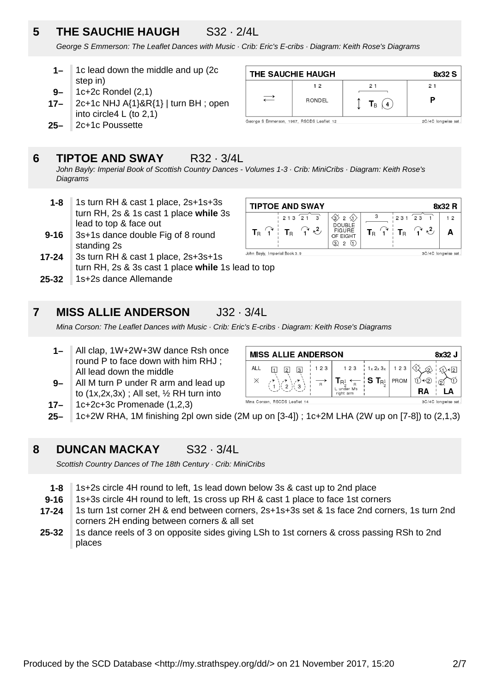# **5 THE SAUCHIE HAUGH** S32 · 2/4L

George S Emmerson: The Leaflet Dances with Music · Crib: Eric's E-cribs · Diagram: Keith Rose's Diagrams

- **1–** 1c lead down the middle and up (2c step in)
- **9–** 1c+2c Rondel (2,1)
- **17–** 2c+1c NHJ A{1}&R{1} | turn BH ; open into circle4 L (to 2,1)
- **25–** 2c+1c Poussette

### **6 TIPTOE AND SWAY** R32 · 3/4L

John Bayly: Imperial Book of Scottish Country Dances - Volumes 1-3 · Crib: MiniCribs · Diagram: Keith Rose's **Diagrams** 

- **1-8** 1s turn RH & cast 1 place, 2s+1s+3s turn RH, 2s & 1s cast 1 place **while** 3s lead to top & face out
- **9-16** 3s+1s dance double Fig of 8 round standing 2s
- **17-24** 3s turn RH & cast 1 place, 2s+3s+1s turn RH, 2s & 3s cast 1 place **while** 1s lead to top
- **25-32** 1s+2s dance Allemande

### **7 MISS ALLIE ANDERSON** J32 · 3/4L

Mina Corson: The Leaflet Dances with Music · Crib: Eric's E-cribs · Diagram: Keith Rose's Diagrams

- **1–** All clap, 1W+2W+3W dance Rsh once round P to face down with him RHJ ; All lead down the middle
- **9–** All M turn P under R arm and lead up to  $(1x, 2x, 3x)$ ; All set,  $\frac{1}{2}$  RH turn into

| 8x32 J<br><b>MISS ALLIE ANDERSON</b> |                                                           |                         |                                                                                                                    |                                                      |      |          |  |  |
|--------------------------------------|-----------------------------------------------------------|-------------------------|--------------------------------------------------------------------------------------------------------------------|------------------------------------------------------|------|----------|--|--|
| ALL<br>Х                             | $\overline{3}$<br> 2 <br>$\frac{1}{2}$ 3<br>$\frac{1}{2}$ | 1 2 3<br>$\overline{R}$ | $\mathbf{T}_{\mathsf{R}_2^1} \leftarrow \; \mathbf{S} \; \mathbf{T}_{\mathsf{R}_2^1} $<br>L under M's<br>right arm | $123$ $\frac{1}{2}$ $1 \times 2 \times 3 \times 123$ | PROM | ≺ହ<br>RA |  |  |
|                                      | 3C/4C longwise set.<br>Mina Corson, RSCDS Leaflet 14      |                         |                                                                                                                    |                                                      |      |          |  |  |

- **17–** 1c+2c+3c Promenade (1,2,3)
- **25–** 1c+2W RHA, 1M finishing 2pl own side (2M up on [3-4]) ; 1c+2M LHA (2W up on [7-8]) to (2,1,3)

### **8 DUNCAN MACKAY** S32 · 3/4L

Scottish Country Dances of The 18th Century · Crib: MiniCribs

- **1-8** 1s+2s circle 4H round to left, 1s lead down below 3s & cast up to 2nd place
- **9-16** 1s+3s circle 4H round to left, 1s cross up RH & cast 1 place to face 1st corners
- **17-24** 1s turn 1st corner 2H & end between corners, 2s+1s+3s set & 1s face 2nd corners, 1s turn 2nd corners 2H ending between corners & all set
- **25-32** 1s dance reels of 3 on opposite sides giving LSh to 1st corners & cross passing RSh to 2nd places

George S Emmerson, 1967, RSCDS Leaflet 12

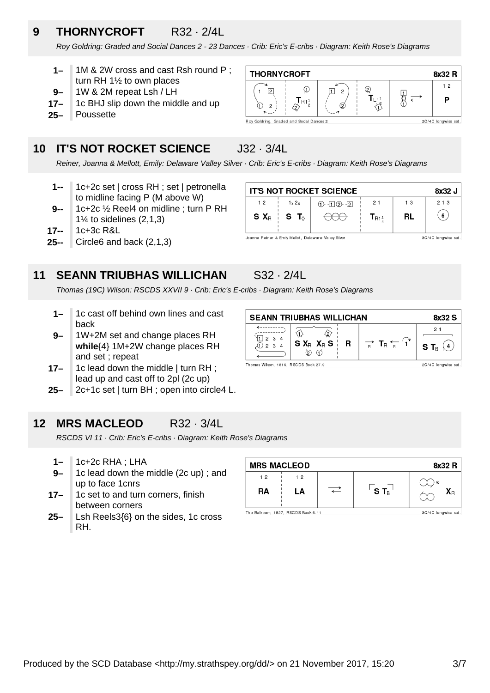### **9 THORNYCROFT** R32 · 2/4L

Roy Goldring: Graded and Social Dances 2 - 23 Dances · Crib: Eric's E-cribs · Diagram: Keith Rose's Diagrams

- **1–** 1M & 2W cross and cast Rsh round P ; turn RH 1½ to own places
- **9–** 1W & 2M repeat Lsh / LH
- **17–** 1c BHJ slip down the middle and up
- **25–** Poussette

### **10 IT'S NOT ROCKET SCIENCE** J32 · 3/4L

Reiner, Joanna & Mellott, Emily: Delaware Valley Silver · Crib: Eric's E-cribs · Diagram: Keith Rose's Diagrams

- **1--** 1c+2c set | cross RH ; set | petronella to midline facing P (M above W)
- **9--** 1c+2c ½ Reel4 on midline ; turn P RH  $1\%$  to sidelines  $(2,1,3)$
- **17--** 1c+3c R&L
- **25--** Circle6 and back (2,1,3)

### **11 SEANN TRIUBHAS WILLICHAN** S32 · 2/4L

Thomas (19C) Wilson: RSCDS XXVII 9 · Crib: Eric's E-cribs · Diagram: Keith Rose's Diagrams

- **1–** 1c cast off behind own lines and cast back
- **9–** 1W+2M set and change places RH **while**{4} 1M+2W change places RH and set ; repeat
- **17–** 1c lead down the middle | turn RH ; lead up and cast off to 2pl (2c up)
- **25–** 2c+1c set | turn BH ; open into circle4 L.

### **12 MRS MACLEOD** R32 · 3/4L

RSCDS VI 11 · Crib: Eric's E-cribs · Diagram: Keith Rose's Diagrams

- **1–** 1c+2c RHA ; LHA
- **9–** 1c lead down the middle (2c up) ; and up to face 1cnrs
- **17–** 1c set to and turn corners, finish between corners
- **25–** Lsh Reels3{6} on the sides, 1c cross RH.

| <b>MRS MACLEOD</b>                                         |    |  |                    | 8x32 R                  |  |  |
|------------------------------------------------------------|----|--|--------------------|-------------------------|--|--|
| 12                                                         | 12 |  |                    | $\odot$                 |  |  |
| RA                                                         | LA |  | $S$ T <sub>B</sub> | $\mathsf{X}_\mathsf{R}$ |  |  |
|                                                            |    |  |                    |                         |  |  |
| The Ballroom, 1827, RSCDS Book 6.11<br>3C/4C longwise set. |    |  |                    |                         |  |  |

**THORNYCROFT** 

 $\sqrt{2}$  $\mathbf{1}$ 

⋒  $\overline{c}$   $\odot$ 

 $\mathbf{J}_{\mathsf{R1}^\mathbf{1}_2}$ 

4 Roy Goldring, Graded and Sodal Dances 2

 $\sqrt{1}$  2

 $\varnothing$ 

**SEANN TRIUBHAS WILLICHAN** 8x32 S  $21$  $\overline{\text{D}}$  $\langle 2 \rangle$ ,<br>′∏ 2 3 4  $S X_R X_R S$  $\Rightarrow$  T<sub>R</sub>  $\leftarrow$   $\left\langle \cdot \right\rangle$ R S T $_{\tiny{\text{B}}}\ (\Delta)$  $\bigoplus$  2 3 4  $\circledcirc$ 

Thomas Wilson, 1816, RSCDS Book 27.9



 $^{\circ}$ 

 $\mathbf{T}_{L,1}$ <sup>1</sup>

∛∑

 $\frac{1}{2}$ 

8x32 R  $12$ 

P

2C/4C longwise set

2C/4C longwise set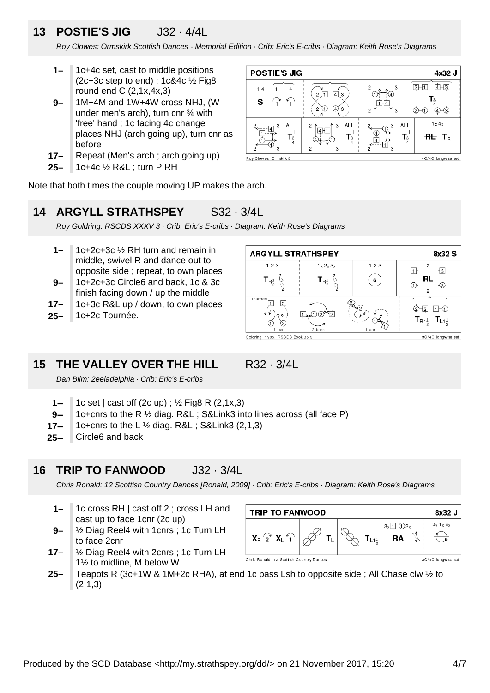### **13 POSTIE'S JIG** J32 · 4/4L

Roy Clowes: Ormskirk Scottish Dances - Memorial Edition · Crib: Eric's E-cribs · Diagram: Keith Rose's Diagrams

- **1–** 1c+4c set, cast to middle positions (2c+3c step to end);  $1c&4c$   $\frac{1}{2}$  Fig8 round end C  $(2,1x,4x,3)$
- **9–** 1M+4M and 1W+4W cross NHJ, (W under men's arch), turn cnr ¾ with 'free' hand ; 1c facing 4c change places NHJ (arch going up), turn cnr as before
- **17–** Repeat (Men's arch ; arch going up)
- **25–** 1c+4c ½ R&L ; turn P RH



Note that both times the couple moving UP makes the arch.

## **14 ARGYLL STRATHSPEY** S32 · 3/4L

Roy Goldring: RSCDS XXXV 3 · Crib: Eric's E-cribs · Diagram: Keith Rose's Diagrams

- **9– 1–** 1c+2c+3c ½ RH turn and remain in middle, swivel R and dance out to opposite side ; repeat, to own places
- 1c+2c+3c Circle6 and back, 1c & 3c finish facing down / up the middle
- **17–** 1c+3c R&L up / down, to own places
- **25–** 1c+2c Tournée.



### **15 THE VALLEY OVER THE HILL** R32 · 3/4L

- Dan Blim: 2eeladelphia · Crib: Eric's E-cribs
- **1--** 1c set | cast off (2c up) ; ½ Fig8 R (2,1x,3)
- **9--** 1c+cnrs to the R ½ diag. R&L ; S&Link3 into lines across (all face P)
- **17--** 1c+cnrs to the L ½ diag. R&L ; S&Link3 (2,1,3)
- **25--** Circle6 and back

**16 TRIP TO FANWOOD** J32 · 3/4L

Chris Ronald: 12 Scottish Country Dances [Ronald, 2009] · Crib: Eric's E-cribs · Diagram: Keith Rose's Diagrams

- **1–** 1c cross RH | cast off 2 ; cross LH and cast up to face 1cnr (2c up)
- **9–** ½ Diag Reel4 with 1cnrs ; 1c Turn LH to face 2cnr
- **17–** ½ Diag Reel4 with 2cnrs ; 1c Turn LH 1½ to midline, M below W



**25–** Teapots R (3c+1W & 1M+2c RHA), at end 1c pass Lsh to opposite side ; All Chase clw ½ to  $(2.1.3)$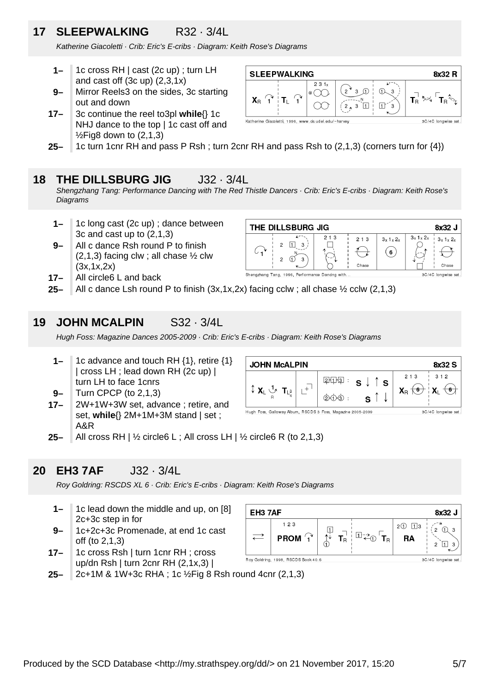# **17 SLEEPWALKING** R32 · 3/4L

Katherine Giacoletti · Crib: Eric's E-cribs · Diagram: Keith Rose's Diagrams

- **1–** 1c cross RH | cast (2c up) ; turn LH and cast off  $(3c \text{ up})$   $(2,3,1x)$
- **9–** Mirror Reels3 on the sides, 3c starting out and down
- **17–** 3c continue the reel to3pl **while**{} 1c NHJ dance to the top | 1c cast off and  $\frac{1}{2}$ Fig8 down to (2,1,3)



**25–** 1c turn 1cnr RH and pass P Rsh ; turn 2cnr RH and pass Rsh to (2,1,3) (corners turn for {4})

### **18 THE DILLSBURG JIG** J32 · 3/4L

Shengzhang Tang: Performance Dancing with The Red Thistle Dancers · Crib: Eric's E-cribs · Diagram: Keith Rose's **Diagrams** 

- **1–** 1c long cast (2c up) ; dance between 3c and cast up to (2,1,3)
- **9–** All c dance Rsh round P to finish  $(2,1,3)$  facing clw; all chase  $\frac{1}{2}$  clw (3x,1x,2x)
- **17–** All circle6 L and back

| THE DILLSBURG JIG                              |                   |                     |                       |                       | 8x32 J |
|------------------------------------------------|-------------------|---------------------|-----------------------|-----------------------|--------|
| 3<br>2<br>Q<br>ົ                               | 213<br>$\sim$ $-$ | 213<br>Chase        | $3x$ 1 $x$ 2 $x$<br>6 | $3x 1x 2x$ $3x 1x 2x$ | Chase  |
| Shengzhang Tang, 1996, Performance Dandng with |                   | 3C/4C longwise set. |                       |                       |        |

**25–** All c dance Lsh round P to finish (3x,1x,2x) facing cclw ; all chase ½ cclw (2,1,3)

### **19 JOHN MCALPIN** S32 · 3/4L

Hugh Foss: Magazine Dances 2005-2009 · Crib: Eric's E-cribs · Diagram: Keith Rose's Diagrams

- **1–** 1c advance and touch RH {1}, retire {1} | cross LH ; lead down RH (2c up) | turn LH to face 1cnrs
- **9–** Turn CPCP (to 2,1,3)
- **17–** 2W+1W+3W set, advance ; retire, and set, **while**{} 2M+1M+3M stand | set ; A&R

| <b>JOHN McALPIN</b><br>8x32 S                     |  |                                                           |                                           |                                                                                |       |  |  |  |
|---------------------------------------------------|--|-----------------------------------------------------------|-------------------------------------------|--------------------------------------------------------------------------------|-------|--|--|--|
| $\updownarrow$ $X_L \stackrel{1}{\smile} T_{L^3}$ |  | शिर्मग्रना<br>$\circled{2}$ $\circled{1}$ $\circled{3}$ : | $s \downarrow \uparrow s$<br>$\mathbf{C}$ | 2 1 3<br>$X_{\mathsf{R}}\left(\overline{\mathsf{G}}\right)\mid X_{\mathsf{R}}$ | 3 1 2 |  |  |  |

Hugh Foss, Galloway Album, RSCDS 3 Foss, Magazine 2005-2009 3C/4C longwise set.

**25–** All cross RH | ½ circle6 L ; All cross LH | ½ circle6 R (to 2,1,3)

### **20 EH3 7AF** J32 · 3/4L

Roy Goldring: RSCDS XL 6 · Crib: Eric's E-cribs · Diagram: Keith Rose's Diagrams

- **1–** 1c lead down the middle and up, on [8] 2c+3c step in for
- **9–** 1c+2c+3c Promenade, at end 1c cast off (to 2,1,3)
- **17–** 1c cross Rsh | turn 1cnr RH ; cross up/dn Rsh | turn 2cnr RH (2,1x,3) |



**25–** 2c+1M & 1W+3c RHA ; 1c ½Fig 8 Rsh round 4cnr (2,1,3)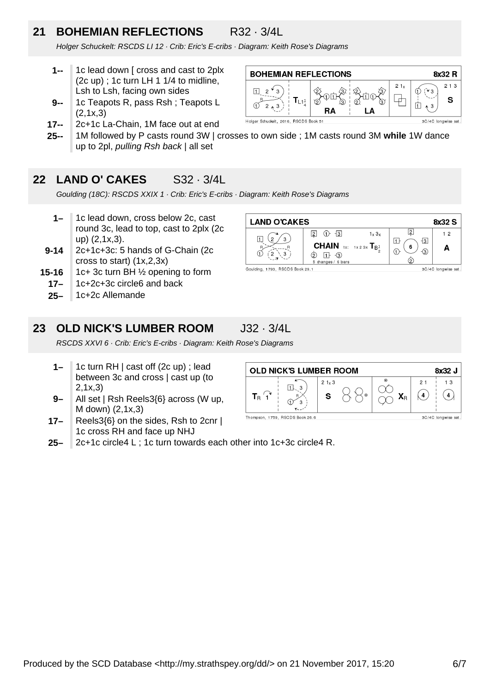### **21 BOHEMIAN REFLECTIONS** R32 · 3/4L

⊓  $\overline{2}$ 

 $\overline{2}$ 

**BOHEMIAN REFLECTIONS** 

 $\mathsf{T}_{\mathsf{L1}^1_2}$ 

Holger Schuckelt, 2016, RSCDS Book 51

RΔ

Holger Schuckelt: RSCDS LI 12 · Crib: Eric's E-cribs · Diagram: Keith Rose's Diagrams

- **1--** 1c lead down [ cross and cast to 2plx (2c up) ; 1c turn LH 1 1/4 to midline, Lsh to Lsh, facing own sides
- **9--** 1c Teapots R, pass Rsh ; Teapots L (2,1x,3)
- **17--** 2c+1c La-Chain, 1M face out at end
- **25--** 1M followed by P casts round 3W | crosses to own side ; 1M casts round 3M **while** 1W dance up to 2pl, pulling Rsh back | all set

### **22 LAND O' CAKES** S32 · 3/4L

Goulding (18C): RSCDS XXIX 1 · Crib: Eric's E-cribs · Diagram: Keith Rose's Diagrams

- **1–** 1c lead down, cross below 2c, cast round 3c, lead to top, cast to 2plx (2c up) (2,1x,3).
- **9-14** 2c+1c+3c: 5 hands of G-Chain (2c cross to start) (1x,2,3x)
- **15-16** 1c+ 3c turn BH ½ opening to form
	- **17–** 1c+2c+3c circle6 and back
	- **25–** 1c+2c Allemande



8x32 R

 $213$ 

S

 $21x$ 

╈

甪

3

3C/4C longwise set.

### **23 OLD NICK'S LUMBER ROOM** J32 · 3/4L

RSCDS XXVI 6 · Crib: Eric's E-cribs · Diagram: Keith Rose's Diagrams

- **1–** 1c turn RH | cast off (2c up) ; lead between 3c and cross | cast up (to 2,1x,3)
- **9–** All set | Rsh Reels3{6} across (W up, M down) (2,1x,3)
- **17–** Reels3{6} on the sides, Rsh to 2cnr | 1c cross RH and face up NHJ

| <b>OLD NICK'S LUMBER ROOM</b><br>8x32 J |                                 |                        |         |                       |    |                     |  |
|-----------------------------------------|---------------------------------|------------------------|---------|-----------------------|----|---------------------|--|
|                                         | З                               | 21 <sub>x</sub> 3<br>s | $\odot$ | $_{\odot}$<br>$X_{R}$ | 21 | 13                  |  |
|                                         | Thompson, 1759, RSCDS Book 26.6 |                        |         |                       |    | 3C/4C longwise set. |  |

**25–** 2c+1c circle4 L ; 1c turn towards each other into 1c+3c circle4 R.